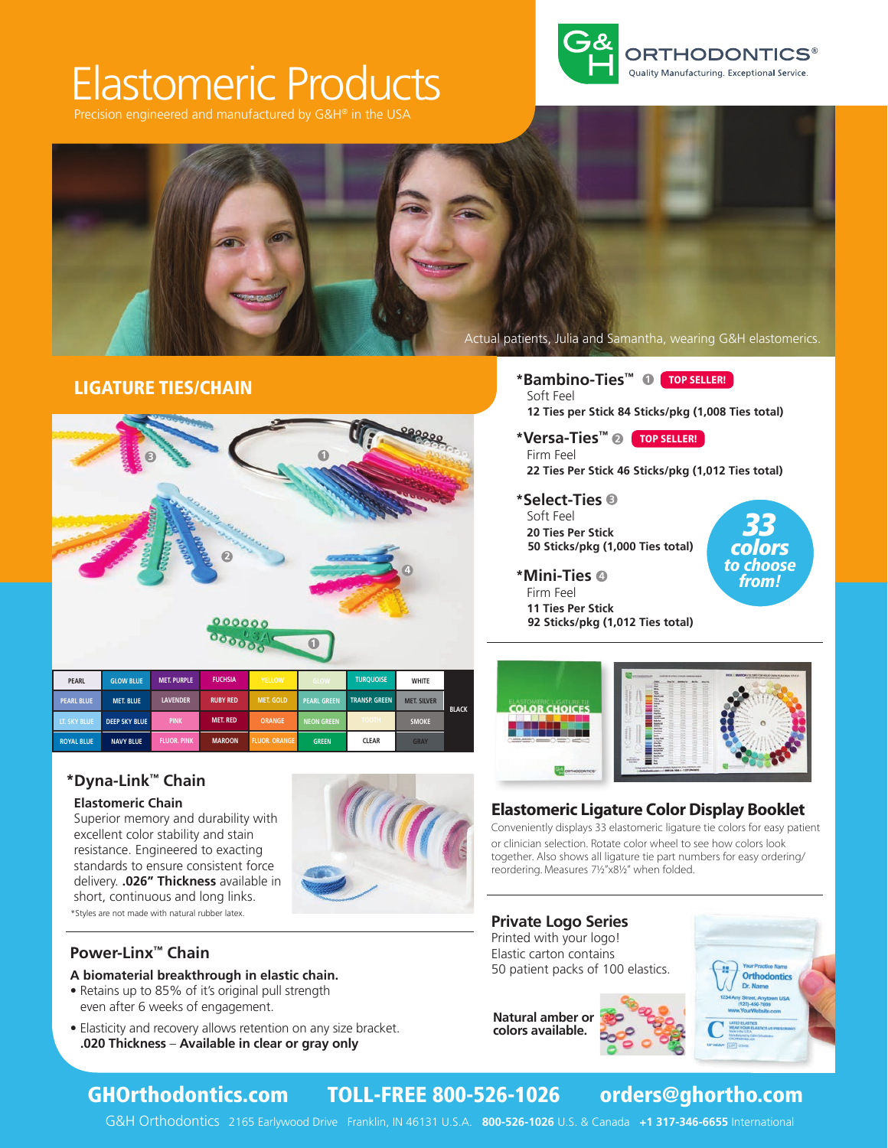# Elastomeric Products

Precision engineered and manufactured by G&H® in the USA





## LIGATURE TIES/CHAIN



### **\*Dyna-Link™ Chain**

#### **Elastomeric Chain**

\*Styles are not made with natural rubber latex. Superior memory and durability with excellent color stability and stain resistance. Engineered to exacting standards to ensure consistent force delivery. **.026" Thickness** available in short, continuous and long links.



### **Power-Linx™ Chain**

#### **A biomaterial breakthrough in elastic chain.**

- Retains up to 85% of it's original pull strength even after 6 weeks of engagement.
- Elasticity and recovery allows retention on any size bracket. **.020 Thickness** – **Available in clear or gray only**

**\*Bambino-Ties™ 1 TOP SELLER!** Soft Feel **12 Ties per Stick 84 Sticks/pkg (1,008 Ties total)** 

**\*Versa-Ties™ 2 TOP SELLER!** Firm Feel **22 Ties Per Stick 46 Sticks/pkg (1,012 Ties total)**

**\*Select-Ties 3** Soft Feel **20 Ties Per Stick 50 Sticks/pkg (1,000 Ties total)** 

33 colors to choose from!

- Firm Feel
- **11 Ties Per Stick 92 Sticks/pkg (1,012 Ties total)**



### **Elastomeric Ligature Color Display Booklet**

Conveniently displays 33 elastomeric ligature tie colors for easy patient or clinician selection. Rotate color wheel to see how colors look together. Also shows all ligature tie part numbers for easy ordering/ reordering. Measures 7½"x8½" when folded.

#### **Private Logo Series** Printed with your logo! Elastic carton contains 50 patient packs of 100 elastics.





## GHOrthodontics.com TOLL-FREE 800-526-1026 orders@ghortho.com

G&H Orthodontics 2165 Earlywood Drive Franklin, IN 46131 U.S.A. **800-526-1026** U.S. & Canada **+1 317-346-6655** International